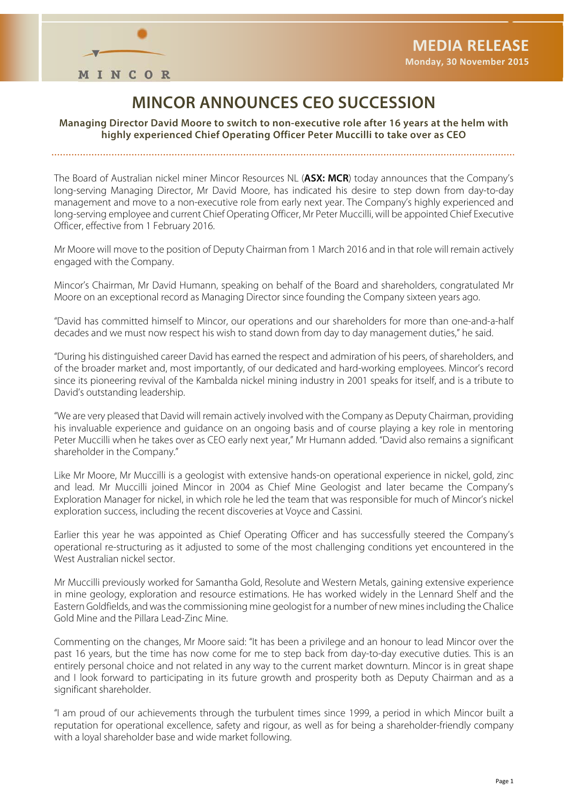

## **MINCOR ANNOUNCES CEO SUCCESSION**

**Managing Director David Moore to switch to non-executive role after 16 years at the helm with highly experienced Chief Operating Officer Peter Muccilli to take over as CEO** 

The Board of Australian nickel miner Mincor Resources NL (**ASX: MCR**) today announces that the Company's long-serving Managing Director, Mr David Moore, has indicated his desire to step down from day-to-day management and move to a non-executive role from early next year. The Company's highly experienced and long-serving employee and current Chief Operating Officer, Mr Peter Muccilli, will be appointed Chief Executive Officer, effective from 1 February 2016.

Mr Moore will move to the position of Deputy Chairman from 1 March 2016 and in that role will remain actively engaged with the Company.

Mincor's Chairman, Mr David Humann, speaking on behalf of the Board and shareholders, congratulated Mr Moore on an exceptional record as Managing Director since founding the Company sixteen years ago.

"David has committed himself to Mincor, our operations and our shareholders for more than one-and-a-half decades and we must now respect his wish to stand down from day to day management duties," he said.

"During his distinguished career David has earned the respect and admiration of his peers, of shareholders, and of the broader market and, most importantly, of our dedicated and hard-working employees. Mincor's record since its pioneering revival of the Kambalda nickel mining industry in 2001 speaks for itself, and is a tribute to David's outstanding leadership.

"We are very pleased that David will remain actively involved with the Company as Deputy Chairman, providing his invaluable experience and guidance on an ongoing basis and of course playing a key role in mentoring Peter Muccilli when he takes over as CEO early next year," Mr Humann added. "David also remains a significant shareholder in the Company."

Like Mr Moore, Mr Muccilli is a geologist with extensive hands-on operational experience in nickel, gold, zinc and lead. Mr Muccilli joined Mincor in 2004 as Chief Mine Geologist and later became the Company's Exploration Manager for nickel, in which role he led the team that was responsible for much of Mincor's nickel exploration success, including the recent discoveries at Voyce and Cassini.

Earlier this year he was appointed as Chief Operating Officer and has successfully steered the Company's operational re-structuring as it adjusted to some of the most challenging conditions yet encountered in the West Australian nickel sector.

Mr Muccilli previously worked for Samantha Gold, Resolute and Western Metals, gaining extensive experience in mine geology, exploration and resource estimations. He has worked widely in the Lennard Shelf and the Eastern Goldfields, and was the commissioning mine geologist for a number of new mines including the Chalice Gold Mine and the Pillara Lead-Zinc Mine.

Commenting on the changes, Mr Moore said: "It has been a privilege and an honour to lead Mincor over the past 16 years, but the time has now come for me to step back from day-to-day executive duties. This is an entirely personal choice and not related in any way to the current market downturn. Mincor is in great shape and I look forward to participating in its future growth and prosperity both as Deputy Chairman and as a significant shareholder.

"I am proud of our achievements through the turbulent times since 1999, a period in which Mincor built a reputation for operational excellence, safety and rigour, as well as for being a shareholder-friendly company with a loyal shareholder base and wide market following.